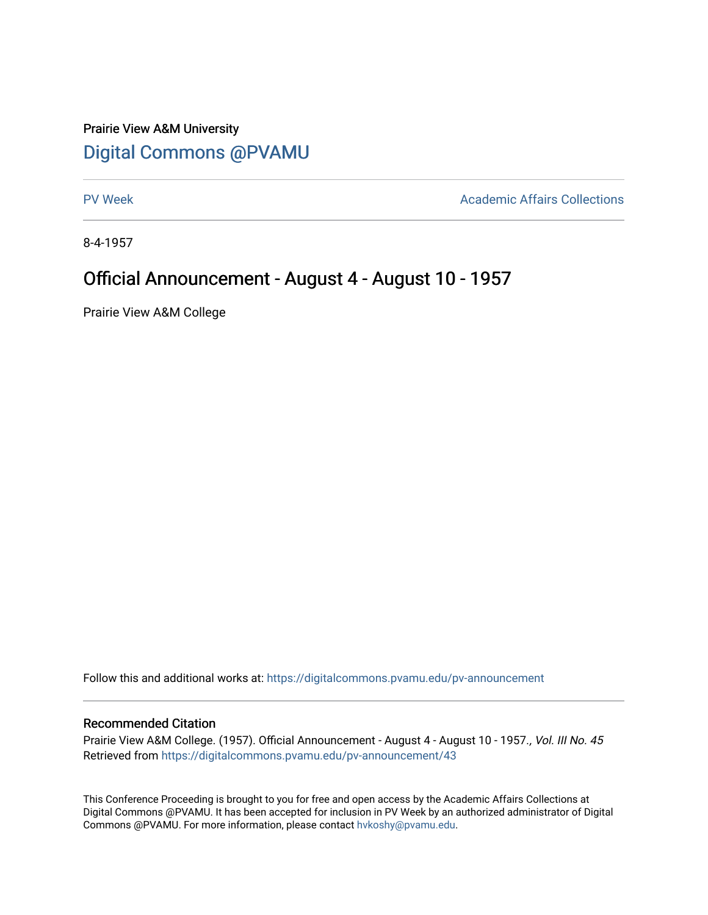## Prairie View A&M University [Digital Commons @PVAMU](https://digitalcommons.pvamu.edu/)

[PV Week](https://digitalcommons.pvamu.edu/pv-announcement) **Academic Affairs Collections** 

8-4-1957

## Official Announcement - August 4 - August 10 - 1957

Prairie View A&M College

Follow this and additional works at: [https://digitalcommons.pvamu.edu/pv-announcement](https://digitalcommons.pvamu.edu/pv-announcement?utm_source=digitalcommons.pvamu.edu%2Fpv-announcement%2F43&utm_medium=PDF&utm_campaign=PDFCoverPages) 

## Recommended Citation

Prairie View A&M College. (1957). Official Announcement - August 4 - August 10 - 1957., Vol. III No. 45 Retrieved from [https://digitalcommons.pvamu.edu/pv-announcement/43](https://digitalcommons.pvamu.edu/pv-announcement/43?utm_source=digitalcommons.pvamu.edu%2Fpv-announcement%2F43&utm_medium=PDF&utm_campaign=PDFCoverPages) 

This Conference Proceeding is brought to you for free and open access by the Academic Affairs Collections at Digital Commons @PVAMU. It has been accepted for inclusion in PV Week by an authorized administrator of Digital Commons @PVAMU. For more information, please contact [hvkoshy@pvamu.edu.](mailto:hvkoshy@pvamu.edu)